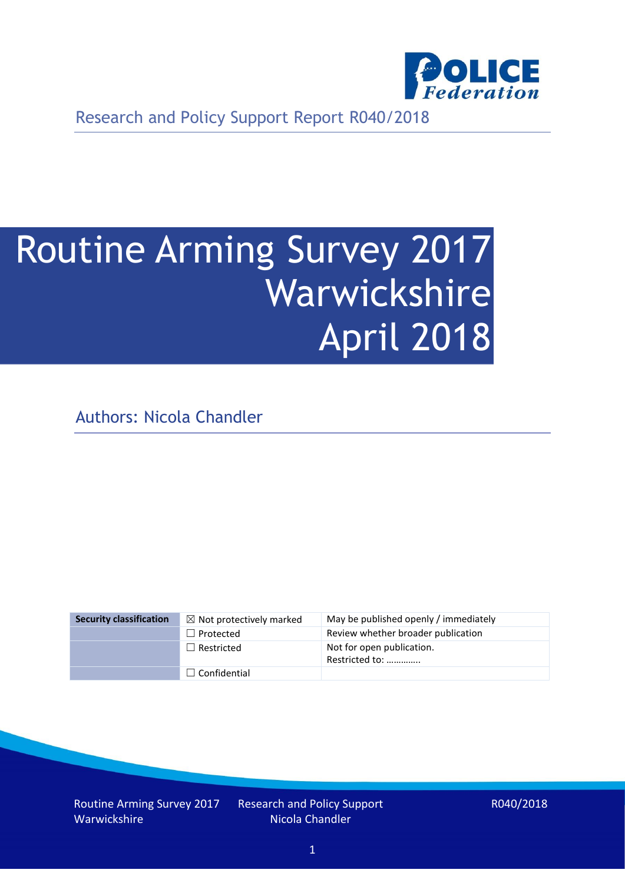

Research and Policy Support Report R040/2018

# Routine Arming Survey 2017 Warwickshire April 2018

Authors: Nicola Chandler

| <b>Security classification</b> | $\boxtimes$ Not protectively marked | May be published openly / immediately       |
|--------------------------------|-------------------------------------|---------------------------------------------|
|                                | $\Box$ Protected                    | Review whether broader publication          |
|                                | $\Box$ Restricted                   | Not for open publication.<br>Restricted to: |
|                                | $\Box$ Confidential                 |                                             |

Routine Arming Survey 2017 Warwickshire

Research and Policy Support Nicola Chandler

R040/2018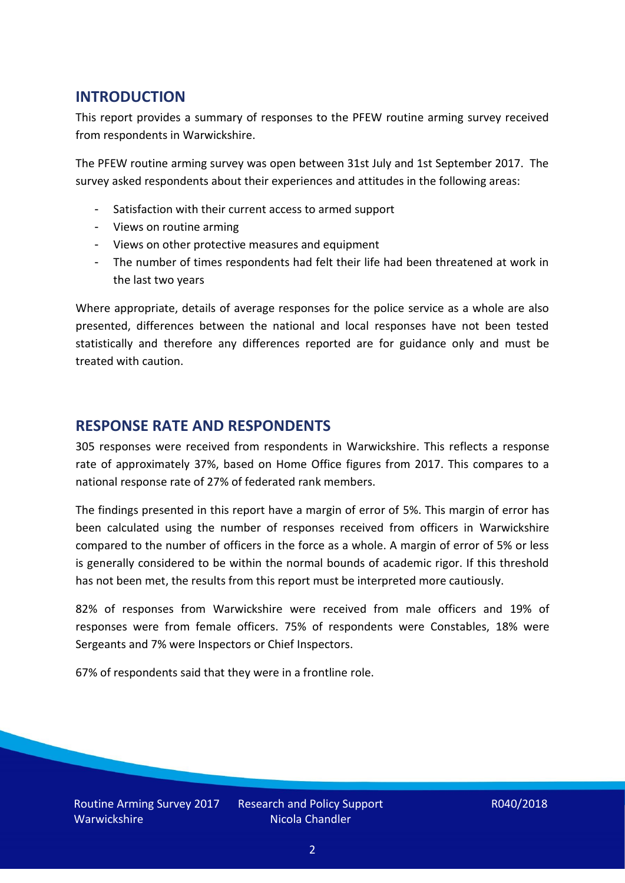# **INTRODUCTION**

This report provides a summary of responses to the PFEW routine arming survey received from respondents in Warwickshire.

The PFEW routine arming survey was open between 31st July and 1st September 2017. The survey asked respondents about their experiences and attitudes in the following areas:

- Satisfaction with their current access to armed support
- Views on routine arming
- Views on other protective measures and equipment
- The number of times respondents had felt their life had been threatened at work in the last two years

Where appropriate, details of average responses for the police service as a whole are also presented, differences between the national and local responses have not been tested statistically and therefore any differences reported are for guidance only and must be treated with caution.

## **RESPONSE RATE AND RESPONDENTS**

305 responses were received from respondents in Warwickshire. This reflects a response rate of approximately 37%, based on Home Office figures from 2017. This compares to a national response rate of 27% of federated rank members.

The findings presented in this report have a margin of error of 5%. This margin of error has been calculated using the number of responses received from officers in Warwickshire compared to the number of officers in the force as a whole. A margin of error of 5% or less is generally considered to be within the normal bounds of academic rigor. If this threshold has not been met, the results from this report must be interpreted more cautiously.

82% of responses from Warwickshire were received from male officers and 19% of responses were from female officers. 75% of respondents were Constables, 18% were Sergeants and 7% were Inspectors or Chief Inspectors.

67% of respondents said that they were in a frontline role.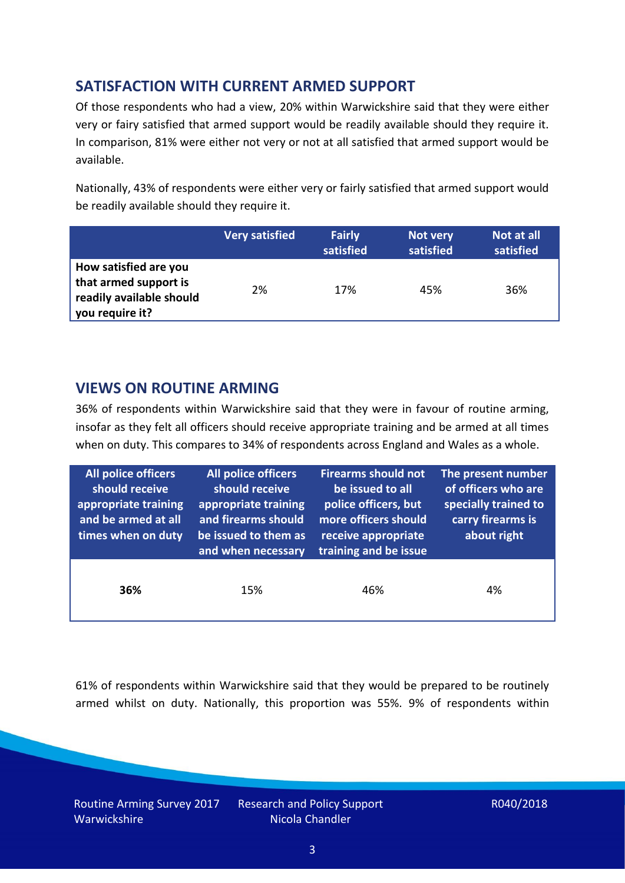# **SATISFACTION WITH CURRENT ARMED SUPPORT**

Of those respondents who had a view, 20% within Warwickshire said that they were either very or fairy satisfied that armed support would be readily available should they require it. In comparison, 81% were either not very or not at all satisfied that armed support would be available.

Nationally, 43% of respondents were either very or fairly satisfied that armed support would be readily available should they require it.

|                                                                                               | <b>Very satisfied</b> | <b>Fairly</b><br>satisfied | Not very<br>satisfied | Not at all<br>satisfied |
|-----------------------------------------------------------------------------------------------|-----------------------|----------------------------|-----------------------|-------------------------|
| How satisfied are you<br>that armed support is<br>readily available should<br>you require it? | 2%                    | 17%                        | 45%                   | 36%                     |

## **VIEWS ON ROUTINE ARMING**

36% of respondents within Warwickshire said that they were in favour of routine arming, insofar as they felt all officers should receive appropriate training and be armed at all times when on duty. This compares to 34% of respondents across England and Wales as a whole.

| All police officers<br>should receive<br>appropriate training<br>and be armed at all<br>times when on duty | All police officers<br>should receive<br>appropriate training<br>and firearms should<br>be issued to them as<br>and when necessary | <b>Firearms should not</b><br>be issued to all<br>police officers, but<br>more officers should<br>receive appropriate<br>training and be issue | The present number<br>of officers who are<br>specially trained to<br>carry firearms is<br>about right |  |
|------------------------------------------------------------------------------------------------------------|------------------------------------------------------------------------------------------------------------------------------------|------------------------------------------------------------------------------------------------------------------------------------------------|-------------------------------------------------------------------------------------------------------|--|
| 36%                                                                                                        | 15%                                                                                                                                | 46%                                                                                                                                            | 4%                                                                                                    |  |

61% of respondents within Warwickshire said that they would be prepared to be routinely armed whilst on duty. Nationally, this proportion was 55%. 9% of respondents within

Routine Arming Survey 2017 Warwickshire

Research and Policy Support Nicola Chandler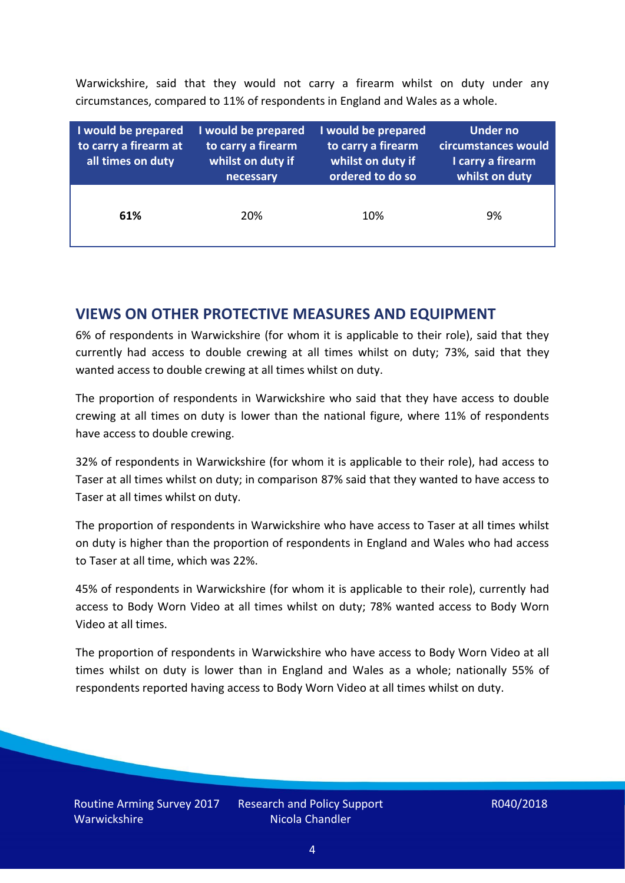Warwickshire, said that they would not carry a firearm whilst on duty under any circumstances, compared to 11% of respondents in England and Wales as a whole.

| I would be prepared<br>to carry a firearm at<br>all times on duty | I would be prepared<br>to carry a firearm<br>whilst on duty if<br>necessary | I would be prepared<br>to carry a firearm<br>whilst on duty if<br>ordered to do so | <b>Under no</b><br>circumstances would<br>I carry a firearm<br>whilst on duty |
|-------------------------------------------------------------------|-----------------------------------------------------------------------------|------------------------------------------------------------------------------------|-------------------------------------------------------------------------------|
| 61%                                                               | 20%                                                                         | 10%                                                                                | 9%                                                                            |

#### **VIEWS ON OTHER PROTECTIVE MEASURES AND EQUIPMENT**

6% of respondents in Warwickshire (for whom it is applicable to their role), said that they currently had access to double crewing at all times whilst on duty; 73%, said that they wanted access to double crewing at all times whilst on duty.

The proportion of respondents in Warwickshire who said that they have access to double crewing at all times on duty is lower than the national figure, where 11% of respondents have access to double crewing.

32% of respondents in Warwickshire (for whom it is applicable to their role), had access to Taser at all times whilst on duty; in comparison 87% said that they wanted to have access to Taser at all times whilst on duty.

The proportion of respondents in Warwickshire who have access to Taser at all times whilst on duty is higher than the proportion of respondents in England and Wales who had access to Taser at all time, which was 22%.

45% of respondents in Warwickshire (for whom it is applicable to their role), currently had access to Body Worn Video at all times whilst on duty; 78% wanted access to Body Worn Video at all times.

The proportion of respondents in Warwickshire who have access to Body Worn Video at all times whilst on duty is lower than in England and Wales as a whole; nationally 55% of respondents reported having access to Body Worn Video at all times whilst on duty.

Research and Policy Support Nicola Chandler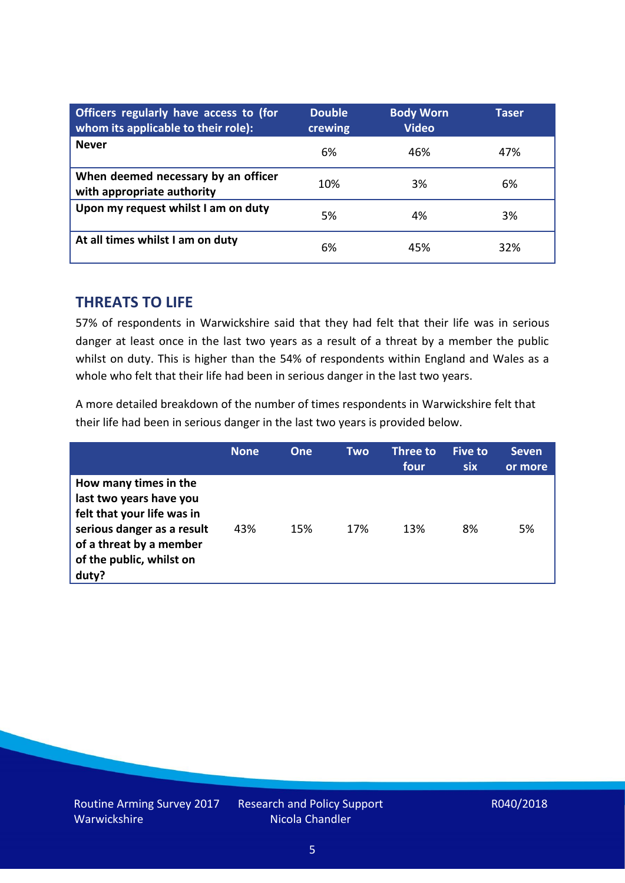| Officers regularly have access to (for<br>whom its applicable to their role): | <b>Double</b><br>crewing | <b>Body Worn</b><br><b>Video</b> | Taser |
|-------------------------------------------------------------------------------|--------------------------|----------------------------------|-------|
| <b>Never</b>                                                                  | 6%                       | 46%                              | 47%   |
| When deemed necessary by an officer<br>with appropriate authority             | 10%                      | 3%                               | 6%    |
| Upon my request whilst I am on duty                                           | 5%                       | 4%                               | 3%    |
| At all times whilst I am on duty                                              | 6%                       | 45%                              | 32%   |

#### **THREATS TO LIFE**

57% of respondents in Warwickshire said that they had felt that their life was in serious danger at least once in the last two years as a result of a threat by a member the public whilst on duty. This is higher than the 54% of respondents within England and Wales as a whole who felt that their life had been in serious danger in the last two years.

A more detailed breakdown of the number of times respondents in Warwickshire felt that their life had been in serious danger in the last two years is provided below.

|                                                                                                                                                                              | <b>None</b> | One | Two | Three to<br>four | <b>Five to</b><br><b>six</b> | <b>Seven</b><br>or more |
|------------------------------------------------------------------------------------------------------------------------------------------------------------------------------|-------------|-----|-----|------------------|------------------------------|-------------------------|
| How many times in the<br>last two years have you<br>felt that your life was in<br>serious danger as a result<br>of a threat by a member<br>of the public, whilst on<br>duty? | 43%         | 15% | 17% | 13%              | 8%                           | 5%                      |

Research and Policy Support Nicola Chandler